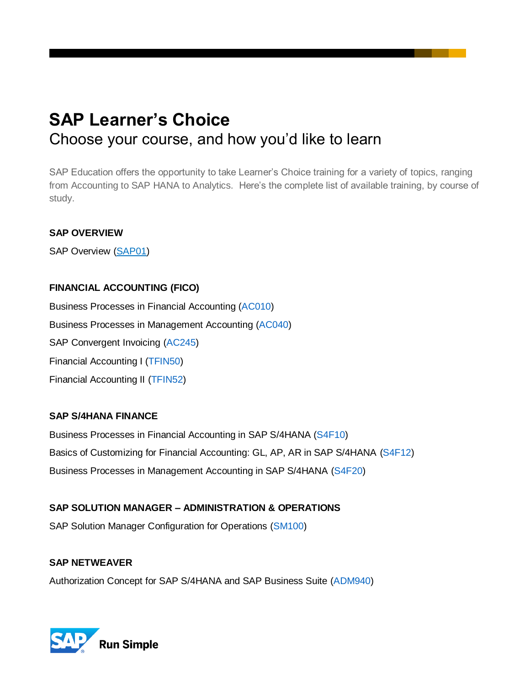# **SAP Learner's Choice** Choose your course, and how you'd like to learn

SAP Education offers the opportunity to take Learner's Choice training for a variety of topics, ranging from Accounting to SAP HANA to Analytics. Here's the complete list of available training, by course of study.

# **SAP OVERVIEW**

SAP Overview [\(SAP01\)](https://training.sap.com/shop/course/sap01-sap-overview-classroom-017-us-en/)

# **FINANCIAL ACCOUNTING (FICO)**

Business Processes in Financial Accounting [\(AC010\)](https://training.sap.com/shop/course/ac010-business-processes-in-financial-accounting-classroom-015-us-en/) Business Processes in Management Accounting [\(AC040\)](https://training.sap.com/shop/course/ac040-business-processes-in-management-accounting-classroom-015-us-en/) SAP Convergent Invoicing [\(AC245\)](https://training.sap.com/shop/course/ac245-sap-convergent-invoicing-classroom-015-us-en/) Financial Accounting I [\(TFIN50\)](https://training.sap.com/shop/course/tfin50-financial-accounting-i-classroom-015-us-en/) Financial Accounting II [\(TFIN52\)](https://training.sap.com/shop/course/tfin52-financial-accounting-ii-classroom-015-us-en/)

# **SAP S/4HANA FINANCE**

Business Processes in Financial Accounting in SAP S/4HANA [\(S4F10\)](https://training.sap.com/shop/course/s4f10-business-processes-in-financial-accounting-in-sap-s4hana-classroom-005-us-en/?) Basics of Customizing for Financial Accounting: GL, AP, AR in SAP S/4HANA [\(S4F12\)](https://training.sap.com/shop/course/s4f12-basics-of-customizing-for-financial-accounting-gl-ap-ar-in-sap-s4hana-classroom-005-us-en/) Business Processes in Management Accounting in SAP S/4HANA [\(S4F20\)](https://training.sap.com/shop/course/s4f20-business-processes-in-management-accounting-in-sap-s4hana-classroom-005-us-en/)

# **SAP SOLUTION MANAGER – ADMINISTRATION & OPERATIONS**

SAP Solution Manager Configuration for Operations [\(SM100\)](https://training.sap.com/shop/course/sm100-sap-solution-manager-configuration-for-operations-classroom-017-us-en/)

# **SAP NETWEAVER**

Authorization Concept for SAP S/4HANA and SAP Business Suite [\(ADM940\)](https://training.sap.com/shop/course/adm940-authorization-concept-for-sap-s4hana-and-sap-business-suite-classroom-017-us-en/)

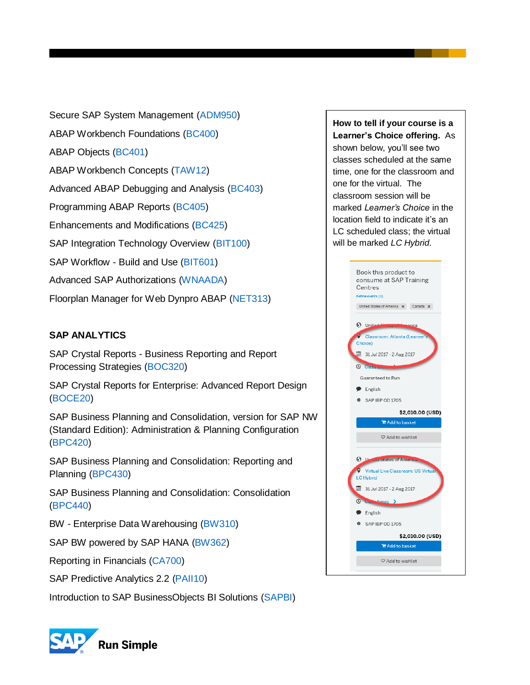Secure SAP System Management [\(ADM950\)](https://training.sap.com/shop/course/adm950-secure-sap-system-management-classroom-017-us-en/) ABAP Workbench Foundations [\(BC400\)](https://training.sap.com/shop/course/bc400-abap-workbench-foundations-classroom-016-us-en/) ABAP Objects [\(BC401\)](https://training.sap.com/shop/course/bc401-abap-objects-classroom-016-us-en/) ABAP Workbench Concepts [\(TAW12\)](https://training.sap.com/shop/course/taw12-abap-workbench-concepts-classroom-016-us-en/) Advanced ABAP Debugging and Analysis [\(BC403\)](https://training.sap.com/shop/course/bc403-advanced-abap-debugging-and-analysis-classroom-015-us-en/?) Programming ABAP Reports [\(BC405\)](https://training.sap.com/shop/course/bc405-programming-abap-reports-classroom-016-us-en/) Enhancements and Modifications [\(BC425\)](https://training.sap.com/shop/course/bc425-enhancements-and-modifications-classroom-016-us-en/) SAP Integration Technology Overview [\(BIT100\)](https://training.sap.com/shop/course/bit100-sap-integration-technology-overview-classroom-016-us-en/) SAP Workflow - Build and Use [\(BIT601\)](https://training.sap.com/shop/course/bit601-sap-workflow---build-and-use-classroom-015-us-en/) Advanced SAP Authorizations [\(WNAADA\)](https://training.sap.com/shop/course/wnaada-advanced-sap-authorizations-classroom-015-us-en/) Floorplan Manager for Web Dynpro ABAP [\(NET313\)](https://training.sap.com/shop/course/net313-floorplan-manager-for-web-dynpro-abap-classroom-010-us-en/)

# **SAP ANALYTICS**

SAP Crystal Reports - Business Reporting and Report Processing Strategies [\(BOC320\)](https://training.sap.com/shop/course/boc320-sap-crystal-reports---business-reporting-and-report-processing-strategies-classroom-015-us-en/)

SAP Crystal Reports for Enterprise: Advanced Report Design [\(BOCE20\)](https://training.sap.com/shop/course/boce20-sap-crystal-reports-for-enterprise-advanced-report-design-classroom-015-us-en/)

SAP Business Planning and Consolidation, version for SAP NW (Standard Edition): Administration & Planning Configuration [\(BPC420\)](https://training.sap.com/shop/course/bpc420-sap-business-planning-and-consolidation-version-for-sap-nw-standard-edition-administration--planning-configuration-classroom-010-us-en/)

SAP Business Planning and Consolidation: Reporting and Planning [\(BPC430\)](https://training.sap.com/shop/course/bpc430-sap-business-planning-and-consolidation-reporting-and-planning-classroom-016-us-en/)

SAP Business Planning and Consolidation: Consolidation [\(BPC440\)](https://training.sap.com/shop/course/bpc440-sap-business-planning-and-consolidation-consolidation-classroom-010-us-en/)

BW - Enterprise Data Warehousing [\(BW310\)](https://training.sap.com/shop/course/bw310-bw---enterprise-data-warehousing-classroom-010-us-en/)

SAP BW powered by SAP HANA [\(BW362\)](https://training.sap.com/shop/course/bw362-sap-bw-powered-by-sap-hana-classroom-012-us-en/)

Reporting in Financials [\(CA700\)](https://training.sap.com/shop/course/ca700-reporting-in-financials-classroom-015-us-en/)

SAP Predictive Analytics 2.2 [\(PAII10\)](https://training.sap.com/shop/course/paii10-sap-predictive-analytics-22-classroom-002-us-en/)

Introduction to SAP BusinessObjects BI Solutions [\(SAPBI\)](https://training.sap.com/shop/course/sapbi-introduction-to-sap-businessobjects-bi-solutions-classroom-016-us-en/)



**How to tell if your course is a Learner's Choice offering.** As shown below, you'll see two classes scheduled at the same time, one for the classroom and one for the virtual. The classroom session will be marked *Learner's Choice* in the location field to indicate it's an LC scheduled class; the virtual will be marked *LC Hybrid*.

| Book this product to                                   |
|--------------------------------------------------------|
| consume at SAP Training                                |
| Centres<br>Refine events (3)                           |
| United States of America X Canada X                    |
|                                                        |
| $\odot$ Unite<br>vrica                                 |
| v<br>Classroom: Atlanta (Learner<br>Choice)            |
|                                                        |
| <b>■ 31 Jul 2017 - 2 Aug 2017</b>                      |
| <b>Q</b> Class                                         |
| Guaranteed to Run                                      |
| $\bullet$ English                                      |
| SAP IBP OD 1705                                        |
| \$2,010.00 (USD)                                       |
| Add to basket                                          |
|                                                        |
|                                                        |
| ♡ Add to wishlist                                      |
|                                                        |
| <b>3 Legisland</b> States of America                   |
| $\bullet$<br><b>Virtual Live Classroom: US Virtual</b> |
| <b>LC Hybrid</b>                                       |
| 31 Jul 2017 - 2 Aug 2017                               |
| <b>O</b> U <sub>lta</sub> times >                      |
| $\bullet$ English                                      |
| SAP IBP OD 1705                                        |
| \$2,010.00 (USD)                                       |
| Add to basket                                          |
| ♡ Add to wishlist                                      |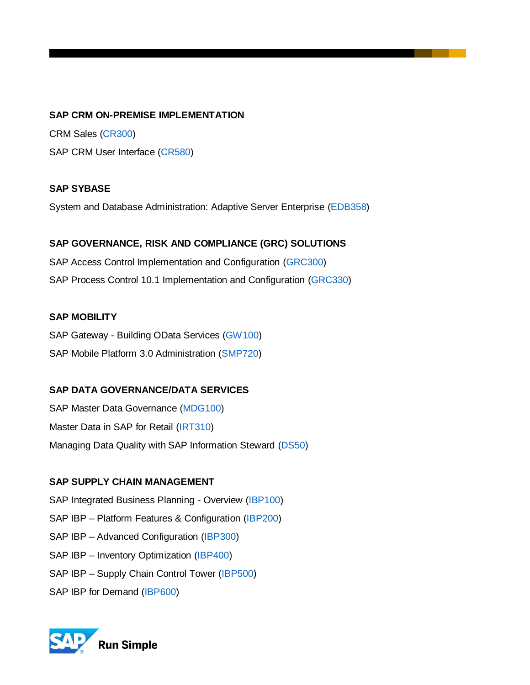#### **SAP CRM ON-PREMISE IMPLEMENTATION**

CRM Sales [\(CR300\)](https://training.sap.com/shop/course/cr300-crm-sales-classroom-097-us-en/?) SAP CRM User Interface [\(CR580\)](https://training.sap.com/shop/course/cr580-sap-crm-user-interface-classroom-015-us-en/)

#### **SAP SYBASE**

System and Database Administration: Adaptive Server Enterprise [\(EDB358\)](https://training.sap.com/shop/course/edb358-system-and-database-administration-adaptive-server-enterprise-classroom-015-us-en/)

#### **SAP GOVERNANCE, RISK AND COMPLIANCE (GRC) SOLUTIONS**

SAP Access Control Implementation and Configuration [\(GRC300\)](https://training.sap.com/shop/course/grc300-sap-access-control-implementation-and-configuration-classroom-016-us-en/) SAP Process Control 10.1 Implementation and Configuration [\(GRC330\)](https://training.sap.com/shop/course/grc330-sap-process-control-101-implementation-and-configuration-classroom-098-us-en/)

#### **SAP MOBILITY**

SAP Gateway - Building OData Services [\(GW100\)](https://training.sap.com/shop/course/gw100-sap-gateway---building-odata-services-classroom-015-us-en/) SAP Mobile Platform 3.0 Administration [\(SMP720\)](https://training.sap.com/shop/course/smp720-sap-mobile-platform-30-administration-classroom-016-us-en/)

# **SAP DATA GOVERNANCE/DATA SERVICES**

SAP Master Data Governance [\(MDG100\)](https://training.sap.com/shop/course/mdg100-sap-master-data-governance-classroom-015-us-pt/) Master Data in SAP for Retail [\(IRT310\)](https://training.sap.com/shop/course/irt310-master-data-in-sap-for-retail-classroom-015-us-en/) Managing Data Quality with SAP Information Steward [\(DS50\)](https://training.sap.com/shop/course/ds50-managing-data-quality-with-sap-information-steward-classroom-015-us-en/)

# **SAP SUPPLY CHAIN MANAGEMENT**

SAP Integrated Business Planning - Overview [\(IBP100\)](https://training.sap.com/shop/course/ibp100-sap-integrated-business-planning---overview-classroom-003-us-en/)

- SAP IBP Platform Features & Configuration [\(IBP200\)](https://training.sap.com/shop/course/ibp200-sap-ibp--platform-features--configuration-classroom-015-us-en/)
- SAP IBP Advanced Configuration [\(IBP300\)](https://training.sap.com/shop/course/ibp300-sap-ibp--advanced-configuration-classroom-015-us-en/?)
- SAP IBP Inventory Optimization [\(IBP400\)](https://training.sap.com/shop/course/ibp400-sap-ibp--inventory-optimization-classroom-003-us-en/?)
- SAP IBP Supply Chain Control Tower [\(IBP500\)](https://training.sap.com/shop/course/ibp400-sap-ibp--inventory-optimization-classroom-003-us-en/?)
- SAP IBP for Demand [\(IBP600\)](https://training.sap.com/shop/course/ibp600-sap-ibp-for-demand-classroom-003-us-en/)